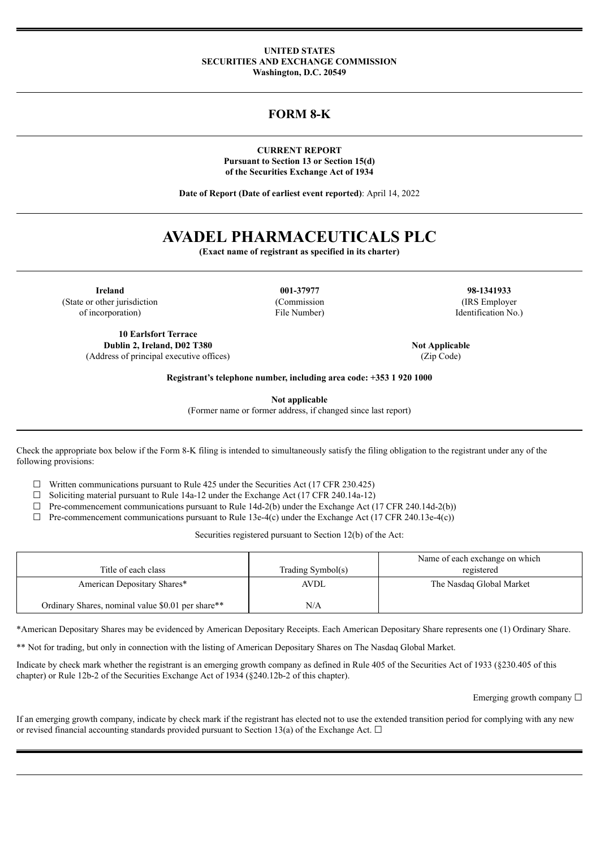#### **UNITED STATES SECURITIES AND EXCHANGE COMMISSION Washington, D.C. 20549**

## **FORM 8-K**

**CURRENT REPORT Pursuant to Section 13 or Section 15(d) of the Securities Exchange Act of 1934**

**Date of Report (Date of earliest event reported)**: April 14, 2022

# **AVADEL PHARMACEUTICALS PLC**

**(Exact name of registrant as specified in its charter)**

**Ireland 001-37977 98-1341933** (State or other jurisdiction (Commission (IRS Employer of incorporation) File Number) Identification No.)

**10 Earlsfort Terrace Dublin 2, Ireland, D02 T380 Not Applicable Not Applicable** (Address of principal executive offices) (Zip Code)

**Registrant's telephone number, including area code: +353 1 920 1000**

**Not applicable**

(Former name or former address, if changed since last report)

Check the appropriate box below if the Form 8-K filing is intended to simultaneously satisfy the filing obligation to the registrant under any of the following provisions:

 $\Box$  Written communications pursuant to Rule 425 under the Securities Act (17 CFR 230.425)

 $\Box$  Soliciting material pursuant to Rule 14a-12 under the Exchange Act (17 CFR 240.14a-12)

 $\Box$  Pre-commencement communications pursuant to Rule 14d-2(b) under the Exchange Act (17 CFR 240.14d-2(b))

 $\Box$  Pre-commencement communications pursuant to Rule 13e-4(c) under the Exchange Act (17 CFR 240.13e-4(c))

Securities registered pursuant to Section 12(b) of the Act:

| Title of each class                               | Trading Symbol(s) | Name of each exchange on which<br>registered |
|---------------------------------------------------|-------------------|----------------------------------------------|
| American Depositary Shares*                       | AVDL              | The Nasdaq Global Market                     |
| Ordinary Shares, nominal value \$0.01 per share** | N/A               |                                              |

\*American Depositary Shares may be evidenced by American Depositary Receipts. Each American Depositary Share represents one (1) Ordinary Share.

\*\* Not for trading, but only in connection with the listing of American Depositary Shares on The Nasdaq Global Market.

Indicate by check mark whether the registrant is an emerging growth company as defined in Rule 405 of the Securities Act of 1933 (§230.405 of this chapter) or Rule 12b-2 of the Securities Exchange Act of 1934 (§240.12b-2 of this chapter).

Emerging growth company □

If an emerging growth company, indicate by check mark if the registrant has elected not to use the extended transition period for complying with any new or revised financial accounting standards provided pursuant to Section 13(a) of the Exchange Act.  $\Box$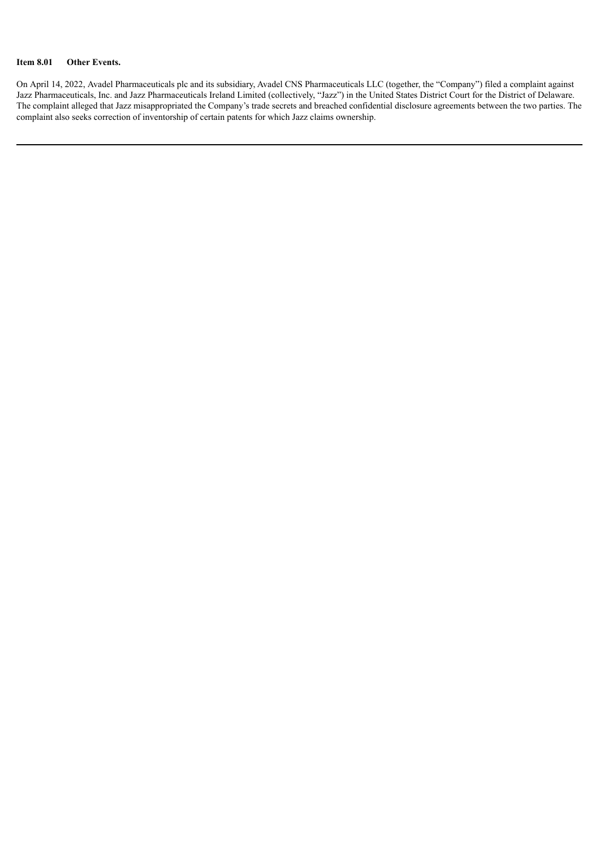#### **Item 8.01 Other Events.**

On April 14, 2022, Avadel Pharmaceuticals plc and its subsidiary, Avadel CNS Pharmaceuticals LLC (together, the "Company") filed a complaint against Jazz Pharmaceuticals, Inc. and Jazz Pharmaceuticals Ireland Limited (collectively, "Jazz") in the United States District Court for the District of Delaware. The complaint alleged that Jazz misappropriated the Company's trade secrets and breached confidential disclosure agreements between the two parties. The complaint also seeks correction of inventorship of certain patents for which Jazz claims ownership.